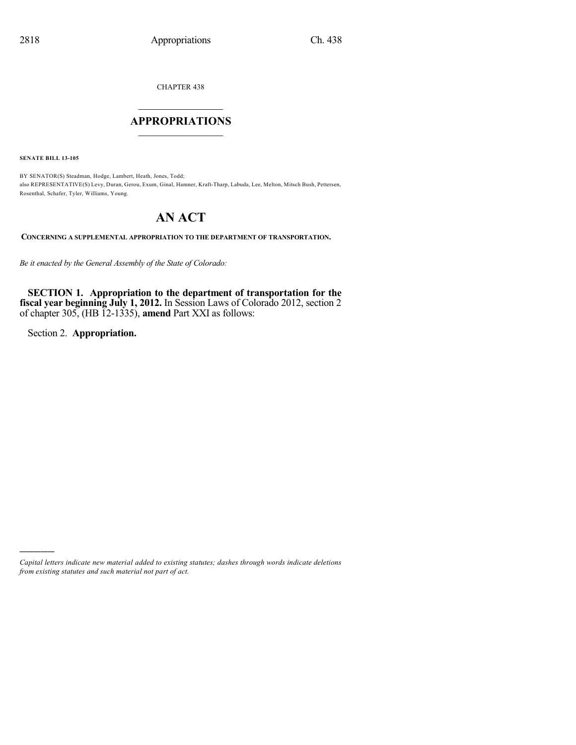CHAPTER 438

## $\mathcal{L}_\text{max}$  . The set of the set of the set of the set of the set of the set of the set of the set of the set of the set of the set of the set of the set of the set of the set of the set of the set of the set of the set **APPROPRIATIONS**  $\_$   $\_$   $\_$   $\_$   $\_$   $\_$   $\_$   $\_$

**SENATE BILL 13-105**

BY SENATOR(S) Steadman, Hodge, Lambert, Heath, Jones, Todd; also REPRESENTATIVE(S) Levy, Duran, Gerou, Exum, Ginal, Hamner, Kraft-Tharp, Labuda, Lee, Melton, Mitsch Bush, Pettersen, Rosenthal, Schafer, Tyler, Williams, Young.

## **AN ACT**

**CONCERNING A SUPPLEMENTAL APPROPRIATION TO THE DEPARTMENT OF TRANSPORTATION.**

*Be it enacted by the General Assembly of the State of Colorado:*

**SECTION 1. Appropriation to the department of transportation for the fiscal year beginning July 1, 2012.** In Session Laws of Colorado 2012, section 2 of chapter 305, (HB 12-1335), **amend** Part XXI as follows:

Section 2. **Appropriation.**

)))))

*Capital letters indicate new material added to existing statutes; dashes through words indicate deletions from existing statutes and such material not part of act.*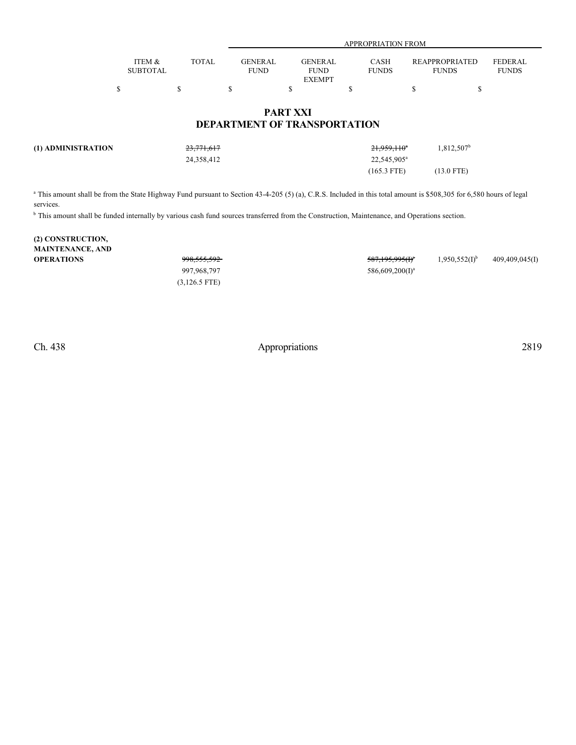|                 |       |                | APPROPRIATION FROM |              |                       |                |  |  |
|-----------------|-------|----------------|--------------------|--------------|-----------------------|----------------|--|--|
|                 |       |                |                    |              |                       |                |  |  |
| ITEM &          | TOTAL | <b>GENERAL</b> | <b>GENERAL</b>     | CASH         | <b>REAPPROPRIATED</b> | <b>FEDERAL</b> |  |  |
| <b>SUBTOTAL</b> |       | <b>FUND</b>    | <b>FUND</b>        | <b>FUNDS</b> | <b>FUNDS</b>          | <b>FUNDS</b>   |  |  |
|                 |       |                | <b>EXEMPT</b>      |              |                       |                |  |  |
|                 |       |                |                    |              |                       |                |  |  |

## **PART XXI DEPARTMENT OF TRANSPORTATION**

| (1) ADMINISTRATION | <del>23,771,617</del> | 21,959,110 <sup>a</sup> | $0.812.507^b$ |
|--------------------|-----------------------|-------------------------|---------------|
|                    | 24,358,412            | 22,545,905 <sup>a</sup> |               |
|                    |                       | $(165.3$ FTE)           | $(13.0$ FTE)  |

<sup>a</sup> This amount shall be from the State Highway Fund pursuant to Section 43-4-205 (5) (a), C.R.S. Included in this total amount is \$508,305 for 6,580 hours of legal services.

<sup>b</sup> This amount shall be funded internally by various cash fund sources transferred from the Construction, Maintenance, and Operations section.

| (2) CONSTRUCTION,       |                        |                             |                             |                |
|-------------------------|------------------------|-----------------------------|-----------------------------|----------------|
| <b>MAINTENANCE, AND</b> |                        |                             |                             |                |
| <b>OPERATIONS</b>       | <del>998,555,592</del> | <del>587,195,995(I)</del> * | $1,950,552(1)$ <sup>b</sup> | 409,409,045(I) |
|                         | 997,968,797            | $586,609,200(I)^a$          |                             |                |
|                         | $(3,126.5$ FTE)        |                             |                             |                |

Ch. 438 Appropriations 2819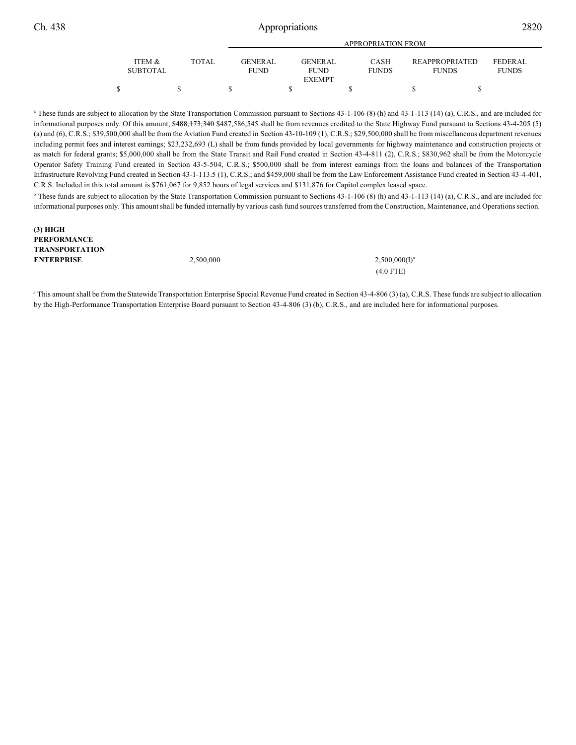**(3) HIGH**

## Ch. 438 Appropriations 2820

|                           |        |                          | APPROPRIATION FROM                             |  |                             |                                       |  |                          |
|---------------------------|--------|--------------------------|------------------------------------------------|--|-----------------------------|---------------------------------------|--|--------------------------|
| ITEM &<br><b>SUBTOTAL</b> | TOTAL. | GENER AL.<br><b>FUND</b> | <b>GENERAL</b><br><b>FUND</b><br><b>EXEMPT</b> |  | <b>CASH</b><br><b>FUNDS</b> | <b>REAPPROPRIATED</b><br><b>FUNDS</b> |  | FEDERAL.<br><b>FUNDS</b> |
| \$                        |        |                          |                                                |  |                             |                                       |  |                          |

<sup>a</sup> These funds are subject to allocation by the State Transportation Commission pursuant to Sections 43-1-106 (8) (h) and 43-1-113 (14) (a), C.R.S., and are included for informational purposes only. Of this amount, \$488,173,340 \$487,586,545 shall be from revenues credited to the State Highway Fund pursuant to Sections 43-4-205 (5) (a) and (6), C.R.S.; \$39,500,000 shall be from the Aviation Fund created in Section 43-10-109 (1), C.R.S.; \$29,500,000 shall be from miscellaneous department revenues including permit fees and interest earnings; \$23,232,693 (L) shall be from funds provided by local governments for highway maintenance and construction projects or as match for federal grants; \$5,000,000 shall be from the State Transit and Rail Fund created in Section 43-4-811 (2), C.R.S.; \$830,962 shall be from the Motorcycle Operator Safety Training Fund created in Section 43-5-504, C.R.S.; \$500,000 shall be from interest earnings from the loans and balances of the Transportation Infrastructure Revolving Fund created in Section 43-1-113.5 (1), C.R.S.; and \$459,000 shall be from the Law Enforcement Assistance Fund created in Section 43-4-401, C.R.S. Included in this total amount is \$761,067 for 9,852 hours of legal services and \$131,876 for Capitol complex leased space.

<sup>b</sup> These funds are subject to allocation by the State Transportation Commission pursuant to Sections 43-1-106 (8) (h) and 43-1-113 (14) (a), C.R.S., and are included for informational purposes only. This amountshall be funded internally by various cash fund sources transferred from the Construction, Maintenance, and Operations section.

| PERFORMANCE           |           |                    |
|-----------------------|-----------|--------------------|
| <b>TRANSPORTATION</b> |           |                    |
| <b>ENTERPRISE</b>     | 2.500,000 | $2,500,000(1)^{3}$ |
|                       |           | $(4.0$ FTE)        |

<sup>a</sup> This amount shall be from the Statewide Transportation Enterprise Special Revenue Fund created in Section 43-4-806 (3) (a), C.R.S. These funds are subject to allocation by the High-Performance Transportation Enterprise Board pursuant to Section 43-4-806 (3) (b), C.R.S., and are included here for informational purposes.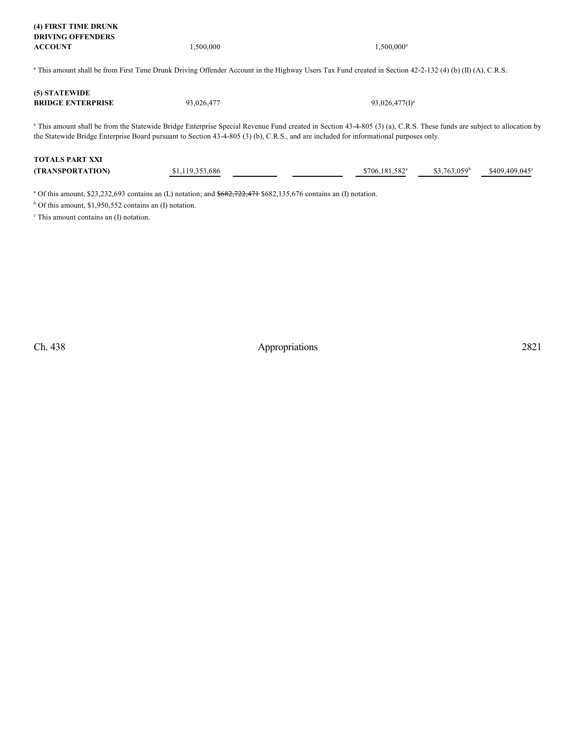| (4) FIRST TIME DRUNK     |           |           |
|--------------------------|-----------|-----------|
| <b>DRIVING OFFENDERS</b> |           |           |
| <b>ACCOUNT</b>           | 1.500.000 | 1.500,000 |

 $1,500,000$ <sup>a</sup>

<sup>a</sup> This amount shall be from First Time Drunk Driving Offender Account in the Highway Users Tax Fund created in Section 42-2-132 (4) (b) (II) (A), C.R.S.

| (5) STATEWIDE            |            |                   |
|--------------------------|------------|-------------------|
| <b>BRIDGE ENTERPRISE</b> | 93.026.477 | $93,026,477(I)^a$ |

<sup>a</sup> This amount shall be from the Statewide Bridge Enterprise Special Revenue Fund created in Section 43-4-805 (3) (a), C.R.S. These funds are subject to allocation by the Statewide Bridge Enterprise Board pursuant to Section 43-4-805 (3) (b), C.R.S., and are included for informational purposes only.

| <b>TOTALS PART XXI</b>  |                 |  |                            |                          |                |
|-------------------------|-----------------|--|----------------------------|--------------------------|----------------|
| <b>(TRANSPORTATION)</b> | \$1,119,353,686 |  | \$706.181.582 <sup>a</sup> | \$3.763.059 <sup>b</sup> | \$409,409,045° |

<sup>a</sup> Of this amount, \$23,232,693 contains an (L) notation; and  $\frac{6682,722,471}{6882,135,676}$  contains an (I) notation.

 $<sup>b</sup>$  Of this amount, \$1,950,552 contains an (I) notation.</sup>

<sup>c</sup> This amount contains an (I) notation.

Ch. 438 Appropriations 2821